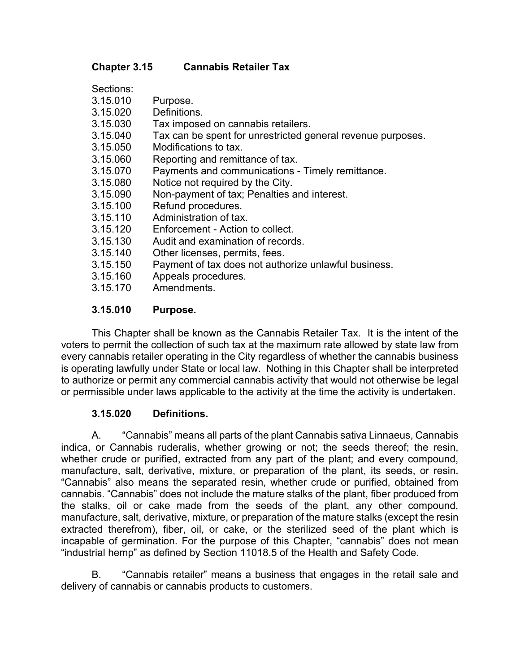#### **Chapter 3.15 Cannabis Retailer Tax**

#### **3.15.010 Purpose.**

 This Chapter shall be known as the Cannabis Retailer Tax. It is the intent of the voters to permit the collection of such tax at the maximum rate allowed by state law from every cannabis retailer operating in the City regardless of whether the cannabis business is operating lawfully under State or local law. Nothing in this Chapter shall be interpreted to authorize or permit any commercial cannabis activity that would not otherwise be legal or permissible under laws applicable to the activity at the time the activity is undertaken.

#### **3.15.020 Definitions.**

A. "Cannabis" means all parts of the plant Cannabis sativa Linnaeus, Cannabis indica, or Cannabis ruderalis, whether growing or not; the seeds thereof; the resin, whether crude or purified, extracted from any part of the plant; and every compound, manufacture, salt, derivative, mixture, or preparation of the plant, its seeds, or resin. "Cannabis" also means the separated resin, whether crude or purified, obtained from cannabis. "Cannabis" does not include the mature stalks of the plant, fiber produced from the stalks, oil or cake made from the seeds of the plant, any other compound, manufacture, salt, derivative, mixture, or preparation of the mature stalks (except the resin extracted therefrom), fiber, oil, or cake, or the sterilized seed of the plant which is incapable of germination. For the purpose of this Chapter, "cannabis" does not mean "industrial hemp" as defined by Section 11018.5 of the Health and Safety Code.

B. "Cannabis retailer" means a business that engages in the retail sale and delivery of cannabis or cannabis products to customers.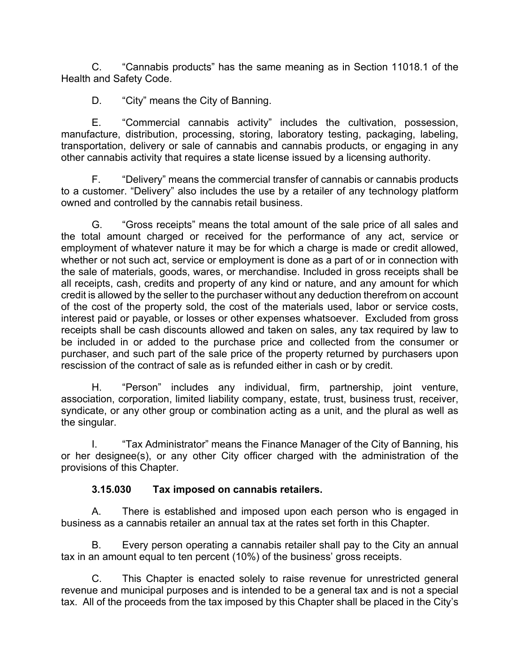C. "Cannabis products" has the same meaning as in Section 11018.1 of the Health and Safety Code.

D. "City" means the City of Banning.

E. "Commercial cannabis activity" includes the cultivation, possession, manufacture, distribution, processing, storing, laboratory testing, packaging, labeling, transportation, delivery or sale of cannabis and cannabis products, or engaging in any other cannabis activity that requires a state license issued by a licensing authority.

F. "Delivery" means the commercial transfer of cannabis or cannabis products to a customer. "Delivery" also includes the use by a retailer of any technology platform owned and controlled by the cannabis retail business.

G. "Gross receipts" means the total amount of the sale price of all sales and the total amount charged or received for the performance of any act, service or employment of whatever nature it may be for which a charge is made or credit allowed, whether or not such act, service or employment is done as a part of or in connection with the sale of materials, goods, wares, or merchandise. Included in gross receipts shall be all receipts, cash, credits and property of any kind or nature, and any amount for which credit is allowed by the seller to the purchaser without any deduction therefrom on account of the cost of the property sold, the cost of the materials used, labor or service costs, interest paid or payable, or losses or other expenses whatsoever. Excluded from gross receipts shall be cash discounts allowed and taken on sales, any tax required by law to be included in or added to the purchase price and collected from the consumer or purchaser, and such part of the sale price of the property returned by purchasers upon rescission of the contract of sale as is refunded either in cash or by credit.

H. "Person" includes any individual, firm, partnership, joint venture, association, corporation, limited liability company, estate, trust, business trust, receiver, syndicate, or any other group or combination acting as a unit, and the plural as well as the singular.

I. "Tax Administrator" means the Finance Manager of the City of Banning, his or her designee(s), or any other City officer charged with the administration of the provisions of this Chapter.

#### **3.15.030 Tax imposed on cannabis retailers.**

A. There is established and imposed upon each person who is engaged in business as a cannabis retailer an annual tax at the rates set forth in this Chapter.

B. Every person operating a cannabis retailer shall pay to the City an annual tax in an amount equal to ten percent (10%) of the business' gross receipts.

C. This Chapter is enacted solely to raise revenue for unrestricted general revenue and municipal purposes and is intended to be a general tax and is not a special tax. All of the proceeds from the tax imposed by this Chapter shall be placed in the City's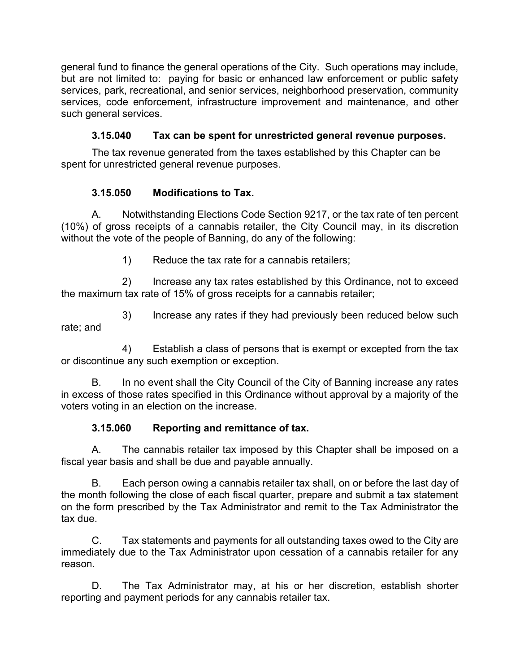general fund to finance the general operations of the City. Such operations may include, but are not limited to: paying for basic or enhanced law enforcement or public safety services, park, recreational, and senior services, neighborhood preservation, community services, code enforcement, infrastructure improvement and maintenance, and other such general services.

# **3.15.040 Tax can be spent for unrestricted general revenue purposes.**

The tax revenue generated from the taxes established by this Chapter can be spent for unrestricted general revenue purposes.

## **3.15.050 Modifications to Tax.**

A. Notwithstanding Elections Code Section 9217, or the tax rate of ten percent (10%) of gross receipts of a cannabis retailer, the City Council may, in its discretion without the vote of the people of Banning, do any of the following:

1) Reduce the tax rate for a cannabis retailers;

2) Increase any tax rates established by this Ordinance, not to exceed the maximum tax rate of 15% of gross receipts for a cannabis retailer;

3) Increase any rates if they had previously been reduced below such rate; and

4) Establish a class of persons that is exempt or excepted from the tax or discontinue any such exemption or exception.

B. In no event shall the City Council of the City of Banning increase any rates in excess of those rates specified in this Ordinance without approval by a majority of the voters voting in an election on the increase.

## **3.15.060 Reporting and remittance of tax.**

A. The cannabis retailer tax imposed by this Chapter shall be imposed on a fiscal year basis and shall be due and payable annually.

B. Each person owing a cannabis retailer tax shall, on or before the last day of the month following the close of each fiscal quarter, prepare and submit a tax statement on the form prescribed by the Tax Administrator and remit to the Tax Administrator the tax due.

C. Tax statements and payments for all outstanding taxes owed to the City are immediately due to the Tax Administrator upon cessation of a cannabis retailer for any reason.

D. The Tax Administrator may, at his or her discretion, establish shorter reporting and payment periods for any cannabis retailer tax.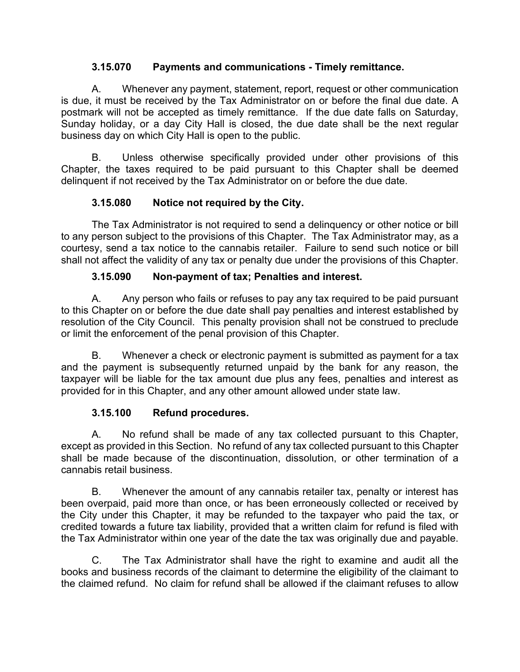#### **3.15.070 Payments and communications - Timely remittance.**

A. Whenever any payment, statement, report, request or other communication is due, it must be received by the Tax Administrator on or before the final due date. A postmark will not be accepted as timely remittance. If the due date falls on Saturday, Sunday holiday, or a day City Hall is closed, the due date shall be the next regular business day on which City Hall is open to the public.

B. Unless otherwise specifically provided under other provisions of this Chapter, the taxes required to be paid pursuant to this Chapter shall be deemed delinquent if not received by the Tax Administrator on or before the due date.

## **3.15.080 Notice not required by the City.**

 The Tax Administrator is not required to send a delinquency or other notice or bill to any person subject to the provisions of this Chapter. The Tax Administrator may, as a courtesy, send a tax notice to the cannabis retailer. Failure to send such notice or bill shall not affect the validity of any tax or penalty due under the provisions of this Chapter.

## **3.15.090 Non-payment of tax; Penalties and interest.**

A. Any person who fails or refuses to pay any tax required to be paid pursuant to this Chapter on or before the due date shall pay penalties and interest established by resolution of the City Council. This penalty provision shall not be construed to preclude or limit the enforcement of the penal provision of this Chapter.

B. Whenever a check or electronic payment is submitted as payment for a tax and the payment is subsequently returned unpaid by the bank for any reason, the taxpayer will be liable for the tax amount due plus any fees, penalties and interest as provided for in this Chapter, and any other amount allowed under state law.

## **3.15.100 Refund procedures.**

A. No refund shall be made of any tax collected pursuant to this Chapter, except as provided in this Section. No refund of any tax collected pursuant to this Chapter shall be made because of the discontinuation, dissolution, or other termination of a cannabis retail business.

B. Whenever the amount of any cannabis retailer tax, penalty or interest has been overpaid, paid more than once, or has been erroneously collected or received by the City under this Chapter, it may be refunded to the taxpayer who paid the tax, or credited towards a future tax liability, provided that a written claim for refund is filed with the Tax Administrator within one year of the date the tax was originally due and payable.

C. The Tax Administrator shall have the right to examine and audit all the books and business records of the claimant to determine the eligibility of the claimant to the claimed refund. No claim for refund shall be allowed if the claimant refuses to allow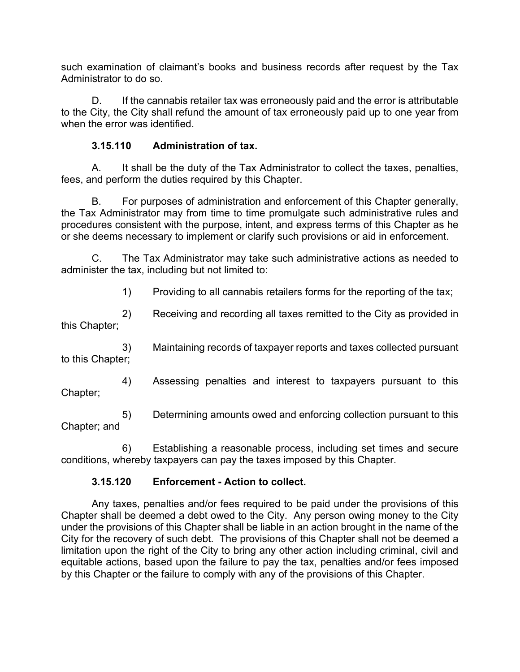such examination of claimant's books and business records after request by the Tax Administrator to do so.

D. If the cannabis retailer tax was erroneously paid and the error is attributable to the City, the City shall refund the amount of tax erroneously paid up to one year from when the error was identified

#### **3.15.110 Administration of tax.**

A. It shall be the duty of the Tax Administrator to collect the taxes, penalties, fees, and perform the duties required by this Chapter.

B. For purposes of administration and enforcement of this Chapter generally, the Tax Administrator may from time to time promulgate such administrative rules and procedures consistent with the purpose, intent, and express terms of this Chapter as he or she deems necessary to implement or clarify such provisions or aid in enforcement.

C. The Tax Administrator may take such administrative actions as needed to administer the tax, including but not limited to:

1) Providing to all cannabis retailers forms for the reporting of the tax;

2) Receiving and recording all taxes remitted to the City as provided in this Chapter;

3) Maintaining records of taxpayer reports and taxes collected pursuant to this Chapter;

4) Assessing penalties and interest to taxpayers pursuant to this Chapter;

5) Determining amounts owed and enforcing collection pursuant to this Chapter; and

6) Establishing a reasonable process, including set times and secure conditions, whereby taxpayers can pay the taxes imposed by this Chapter.

#### **3.15.120 Enforcement - Action to collect.**

 Any taxes, penalties and/or fees required to be paid under the provisions of this Chapter shall be deemed a debt owed to the City. Any person owing money to the City under the provisions of this Chapter shall be liable in an action brought in the name of the City for the recovery of such debt. The provisions of this Chapter shall not be deemed a limitation upon the right of the City to bring any other action including criminal, civil and equitable actions, based upon the failure to pay the tax, penalties and/or fees imposed by this Chapter or the failure to comply with any of the provisions of this Chapter.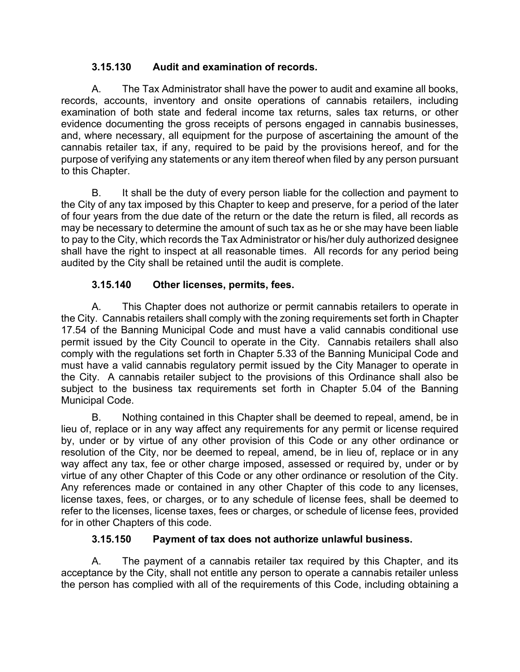#### **3.15.130 Audit and examination of records.**

A. The Tax Administrator shall have the power to audit and examine all books, records, accounts, inventory and onsite operations of cannabis retailers, including examination of both state and federal income tax returns, sales tax returns, or other evidence documenting the gross receipts of persons engaged in cannabis businesses, and, where necessary, all equipment for the purpose of ascertaining the amount of the cannabis retailer tax, if any, required to be paid by the provisions hereof, and for the purpose of verifying any statements or any item thereof when filed by any person pursuant to this Chapter.

B. It shall be the duty of every person liable for the collection and payment to the City of any tax imposed by this Chapter to keep and preserve, for a period of the later of four years from the due date of the return or the date the return is filed, all records as may be necessary to determine the amount of such tax as he or she may have been liable to pay to the City, which records the Tax Administrator or his/her duly authorized designee shall have the right to inspect at all reasonable times. All records for any period being audited by the City shall be retained until the audit is complete.

# **3.15.140 Other licenses, permits, fees.**

 A. This Chapter does not authorize or permit cannabis retailers to operate in the City. Cannabis retailers shall comply with the zoning requirements set forth in Chapter 17.54 of the Banning Municipal Code and must have a valid cannabis conditional use permit issued by the City Council to operate in the City. Cannabis retailers shall also comply with the regulations set forth in Chapter 5.33 of the Banning Municipal Code and must have a valid cannabis regulatory permit issued by the City Manager to operate in the City. A cannabis retailer subject to the provisions of this Ordinance shall also be subject to the business tax requirements set forth in Chapter 5.04 of the Banning Municipal Code.

 B. Nothing contained in this Chapter shall be deemed to repeal, amend, be in lieu of, replace or in any way affect any requirements for any permit or license required by, under or by virtue of any other provision of this Code or any other ordinance or resolution of the City, nor be deemed to repeal, amend, be in lieu of, replace or in any way affect any tax, fee or other charge imposed, assessed or required by, under or by virtue of any other Chapter of this Code or any other ordinance or resolution of the City. Any references made or contained in any other Chapter of this code to any licenses, license taxes, fees, or charges, or to any schedule of license fees, shall be deemed to refer to the licenses, license taxes, fees or charges, or schedule of license fees, provided for in other Chapters of this code.

## **3.15.150 Payment of tax does not authorize unlawful business.**

A. The payment of a cannabis retailer tax required by this Chapter, and its acceptance by the City, shall not entitle any person to operate a cannabis retailer unless the person has complied with all of the requirements of this Code, including obtaining a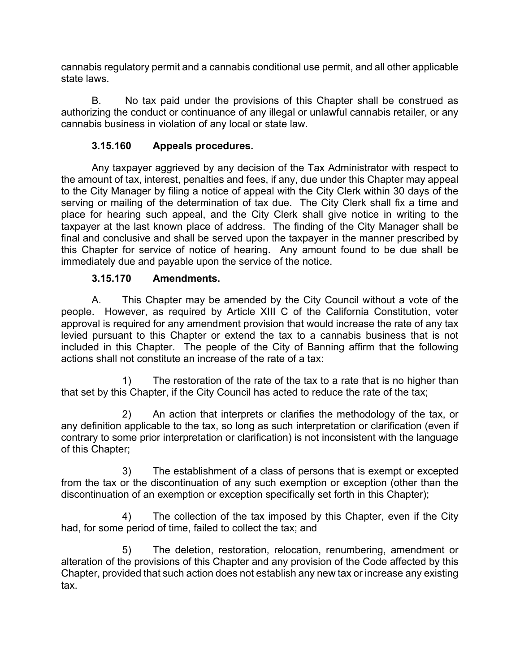cannabis regulatory permit and a cannabis conditional use permit, and all other applicable state laws.

B. No tax paid under the provisions of this Chapter shall be construed as authorizing the conduct or continuance of any illegal or unlawful cannabis retailer, or any cannabis business in violation of any local or state law.

## **3.15.160 Appeals procedures.**

 Any taxpayer aggrieved by any decision of the Tax Administrator with respect to the amount of tax, interest, penalties and fees, if any, due under this Chapter may appeal to the City Manager by filing a notice of appeal with the City Clerk within 30 days of the serving or mailing of the determination of tax due. The City Clerk shall fix a time and place for hearing such appeal, and the City Clerk shall give notice in writing to the taxpayer at the last known place of address. The finding of the City Manager shall be final and conclusive and shall be served upon the taxpayer in the manner prescribed by this Chapter for service of notice of hearing. Any amount found to be due shall be immediately due and payable upon the service of the notice.

## **3.15.170 Amendments.**

A. This Chapter may be amended by the City Council without a vote of the people. However, as required by Article XIII C of the California Constitution, voter approval is required for any amendment provision that would increase the rate of any tax levied pursuant to this Chapter or extend the tax to a cannabis business that is not included in this Chapter. The people of the City of Banning affirm that the following actions shall not constitute an increase of the rate of a tax:

1) The restoration of the rate of the tax to a rate that is no higher than that set by this Chapter, if the City Council has acted to reduce the rate of the tax;

2) An action that interprets or clarifies the methodology of the tax, or any definition applicable to the tax, so long as such interpretation or clarification (even if contrary to some prior interpretation or clarification) is not inconsistent with the language of this Chapter;

3) The establishment of a class of persons that is exempt or excepted from the tax or the discontinuation of any such exemption or exception (other than the discontinuation of an exemption or exception specifically set forth in this Chapter);

4) The collection of the tax imposed by this Chapter, even if the City had, for some period of time, failed to collect the tax; and

5) The deletion, restoration, relocation, renumbering, amendment or alteration of the provisions of this Chapter and any provision of the Code affected by this Chapter, provided that such action does not establish any new tax or increase any existing tax.